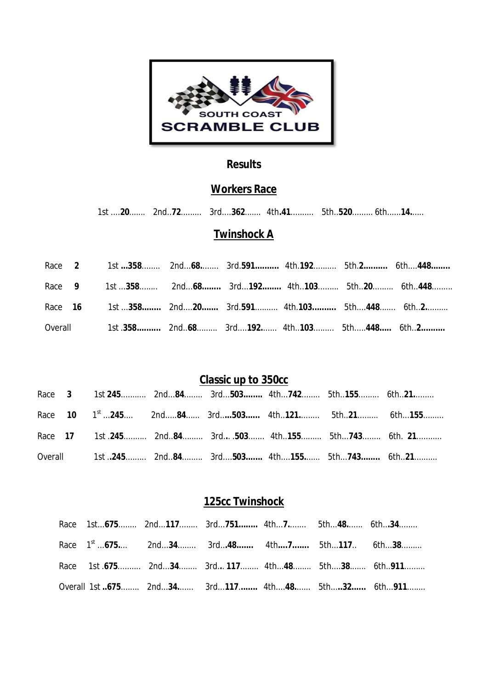

#### **Results**

### **Workers Race**

1st ....**20**....... 2nd..**72**......... 3rd....**362**....... 4th**.41**.......... 5th..**520**......... 6th......**14.**.....

#### **Twinshock A**

|  | Race 2 1st 358 2nd68 3rd.591 4th.192 5th.2 6th448 |  |  |  |
|--|---------------------------------------------------|--|--|--|
|  | Race 9 1st 358 2nd68 3rd192 4th103 5th20 6th448   |  |  |  |
|  | Race 16 1st 358 2nd20 3rd.591 4th.103 5th448 6th2 |  |  |  |
|  | Overall 1st .358 2nd68 3rd192 4th103 5th448 6th2  |  |  |  |

# **Classic up to 350cc**

|  |  | Race 10 1 <sup>st</sup> 245 2nd84 3rd503 4th121 5th21 6th155 |  |  |
|--|--|--------------------------------------------------------------|--|--|
|  |  | Race 17 1st 245 2nd84 3rd 503 4th155 5th743 6th. 21          |  |  |
|  |  | Overall 1st 245 2nd84 3rd503 4th155 5th743 6th21             |  |  |

# **125cc Twinshock**

|  | Race 1st675 2nd117 3rd751 4th7 5th48 6th34             |  |  |
|--|--------------------------------------------------------|--|--|
|  | Race 1 <sup>st</sup> 675 2nd34 3rd48 4th7 5th117 6th38 |  |  |
|  | Race 1st .675 2nd34 3rd 117 4th48 5th38 6th911         |  |  |
|  | Overall 1st 675 2nd34 3rd117 4th48 5th32 6th911        |  |  |